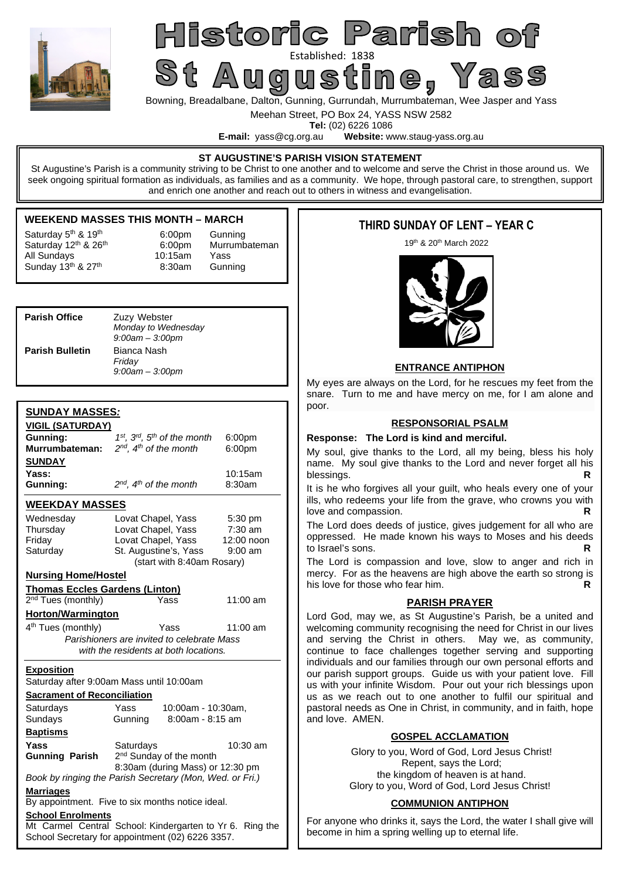

# Historic Parish o St Augustine (1838)

Bowning, Breadalbane, Dalton, Gunning, Gurrundah, Murrumbateman, Wee Jasper and Yass

Meehan Street, PO Box 24, YASS NSW 2582

**Tel:** (02) 6226 1086<br>**E-mail:** vass@cg.org.au **Website:** w Website: www.staug-yass.org.au

#### **ST AUGUSTINE'S PARISH VISION STATEMENT**

St Augustine's Parish is a community striving to be Christ to one another and to welcome and serve the Christ in those around us. We seek ongoing spiritual formation as individuals, as families and as a community. We hope, through pastoral care, to strengthen, support and enrich one another and reach out to others in witness and evangelisation.

#### **WEEKEND MASSES THIS MONTH – MARCH**

All Sundays 10:15am Yass

Saturday 12<sup>th</sup> & 26<sup>th</sup> 6:00pm Murrumbateman Saturday  $5<sup>th</sup>$  &  $19<sup>th</sup>$  6:00pm Gunning Sunday  $13<sup>th</sup>$  &  $27<sup>th</sup>$  8:30am Gunning

| <b>Parish Office</b>   | Zuzy Webster<br>Monday to Wednesday<br>$9:00$ am $-3:00$ pm |  |  |
|------------------------|-------------------------------------------------------------|--|--|
| <b>Parish Bulletin</b> | Bianca Nash<br>Friday<br>$9:00$ am $-3:00$ pm               |  |  |

#### **SUNDAY MASSES***:*

| <u>VIGIL (SATURDAY)</u>                                              |                                                          |            |  |  |  |
|----------------------------------------------------------------------|----------------------------------------------------------|------------|--|--|--|
| Gunning:                                                             | 1st, 3rd, 5th of the month<br>6:00 <sub>pm</sub>         |            |  |  |  |
| Murrumbateman:                                                       | $2^{nd}$ . $4^{th}$ of the month<br>6:00pm               |            |  |  |  |
| <b>SUNDAY</b>                                                        |                                                          |            |  |  |  |
| Yass:                                                                |                                                          | 10:15am    |  |  |  |
| Gunning:                                                             | $2^{nd}$ , $4^{th}$ of the month                         | 8:30am     |  |  |  |
| <b>WEEKDAY MASSES</b>                                                |                                                          |            |  |  |  |
| Wednesday                                                            | Lovat Chapel, Yass                                       | 5:30 pm    |  |  |  |
| Thursday                                                             | Lovat Chapel, Yass                                       | $7:30$ am  |  |  |  |
| Friday                                                               | Lovat Chapel, Yass                                       | 12:00 noon |  |  |  |
| Saturday                                                             | St. Augustine's, Yass                                    | $9:00$ am  |  |  |  |
|                                                                      | (start with 8:40am Rosary)                               |            |  |  |  |
| <b>Nursing Home/Hostel</b>                                           |                                                          |            |  |  |  |
| <b>Thomas Eccles Gardens (Linton)</b>                                |                                                          |            |  |  |  |
| $2nd$ Tues (monthly)                                                 | Yass                                                     | 11:00 am   |  |  |  |
| Horton/Warmington                                                    |                                                          |            |  |  |  |
| 4 <sup>th</sup> Tues (monthly)<br>Yass<br>11:00 am                   |                                                          |            |  |  |  |
|                                                                      | Parishioners are invited to celebrate Mass               |            |  |  |  |
|                                                                      | with the residents at both locations.                    |            |  |  |  |
| <b>Exposition</b>                                                    |                                                          |            |  |  |  |
|                                                                      | Saturday after 9:00am Mass until 10:00am                 |            |  |  |  |
| <b>Sacrament of Reconciliation</b>                                   |                                                          |            |  |  |  |
| Saturdays                                                            | Yass<br>10:00am - 10:30am,                               |            |  |  |  |
| Sundays                                                              | 8:00am - 8:15 am<br>Gunning                              |            |  |  |  |
| <b>Baptisms</b>                                                      |                                                          |            |  |  |  |
| Yass                                                                 | Saturdays                                                | 10:30 am   |  |  |  |
| <b>Gunning Parish</b>                                                | 2 <sup>nd</sup> Sunday of the month                      |            |  |  |  |
| 8:30am (during Mass) or 12:30 pm                                     |                                                          |            |  |  |  |
| Book by ringing the Parish Secretary (Mon, Wed. or Fri.)             |                                                          |            |  |  |  |
| <b>Marriages</b><br>By appointment. Five to six months notice ideal. |                                                          |            |  |  |  |
| <b>School Enrolments</b>                                             |                                                          |            |  |  |  |
|                                                                      | Mt Carmel Central School: Kindergarten to Yr 6. Ring the |            |  |  |  |
| School Secretary for appointment (02) 6226 3357.                     |                                                          |            |  |  |  |

### **THIRD SUNDAY OF LENT – YEAR C**

19th & 20th March 2022



#### **ENTRANCE ANTIPHON**

My eyes are always on the Lord, for he rescues my feet from the snare. Turn to me and have mercy on me, for I am alone and poor.

#### **RESPONSORIAL PSALM**

#### **Response: The Lord is kind and merciful.**

My soul, give thanks to the Lord, all my being, bless his holy name. My soul give thanks to the Lord and never forget all his blessings.

It is he who forgives all your guilt, who heals every one of your ills, who redeems your life from the grave, who crowns you with love and compassion.

The Lord does deeds of justice, gives judgement for all who are oppressed. He made known his ways to Moses and his deeds to Israel's sons. **R** 

The Lord is compassion and love, slow to anger and rich in mercy. For as the heavens are high above the earth so strong is his love for those who fear him. **R** 

#### **PARISH PRAYER**

Lord God, may we, as St Augustine's Parish, be a united and welcoming community recognising the need for Christ in our lives and serving the Christ in others. May we, as community, continue to face challenges together serving and supporting individuals and our families through our own personal efforts and our parish support groups. Guide us with your patient love. Fill us with your infinite Wisdom. Pour out your rich blessings upon us as we reach out to one another to fulfil our spiritual and pastoral needs as One in Christ, in community, and in faith, hope and love. AMEN.

#### **GOSPEL ACCLAMATION**

Glory to you, Word of God, Lord Jesus Christ! Repent, says the Lord; the kingdom of heaven is at hand. Glory to you, Word of God, Lord Jesus Christ!

#### **COMMUNION ANTIPHON**

For anyone who drinks it, says the Lord, the water I shall give will become in him a spring welling up to eternal life.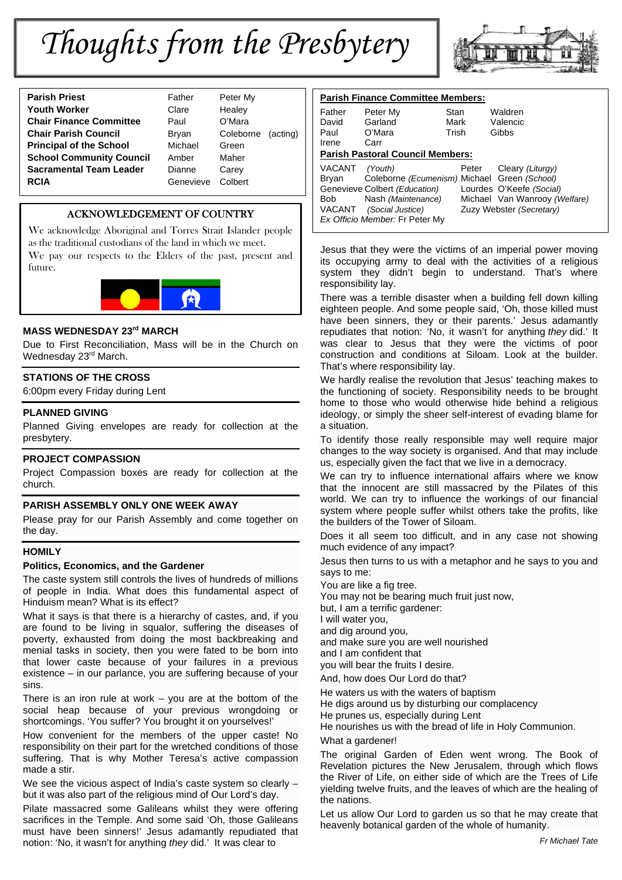# *Thoughts from the Presbytery*



| <b>Youth Worker</b><br>Clare<br>Heale <sup>®</sup><br><b>Chair Finance Committee</b><br>O'Mar<br>Paul<br><b>Chair Parish Council</b><br>Coleb<br>Bryan<br><b>Principal of the School</b><br>Michael<br>Green<br><b>School Community Council</b><br>Maher<br>Amber<br><b>Sacramental Team Leader</b><br>Dianne<br>Carey<br><b>RCIA</b><br>Genevieve | <b>Parish Priest</b> | Father | Peter I |
|----------------------------------------------------------------------------------------------------------------------------------------------------------------------------------------------------------------------------------------------------------------------------------------------------------------------------------------------------|----------------------|--------|---------|
|                                                                                                                                                                                                                                                                                                                                                    |                      |        |         |
|                                                                                                                                                                                                                                                                                                                                                    |                      |        |         |
|                                                                                                                                                                                                                                                                                                                                                    |                      |        |         |
|                                                                                                                                                                                                                                                                                                                                                    |                      |        |         |
|                                                                                                                                                                                                                                                                                                                                                    |                      |        |         |
|                                                                                                                                                                                                                                                                                                                                                    |                      |        |         |
|                                                                                                                                                                                                                                                                                                                                                    |                      |        | Colber  |

**Peter My Healey C'Mara** Coleborne (acting) **Carey Reve** Colbert

#### ACKNOWLEDGEMENT OF COUNTRY

We acknowledge Aboriginal and Torres Strait Islander people as the traditional custodians of the land in which we meet.

We pay our respects to the Elders of the past, present and future.



#### **MASS WEDNESDAY 23rd MARCH**

Due to First Reconciliation, Mass will be in the Church on Wednesday 23rd March.

#### **STATIONS OF THE CROSS**

6:00pm every Friday during Lent

#### **PLANNED GIVING**

Planned Giving envelopes are ready for collection at the presbytery.

#### **PROJECT COMPASSION**

Project Compassion boxes are ready for collection at the church.

#### **PARISH ASSEMBLY ONLY ONE WEEK AWAY**

Please pray for our Parish Assembly and come together on the day.

#### **HOMILY**

#### **Politics, Economics, and the Gardener**

The caste system still controls the lives of hundreds of millions of people in India. What does this fundamental aspect of Hinduism mean? What is its effect?

What it says is that there is a hierarchy of castes, and, if you are found to be living in squalor, suffering the diseases of poverty, exhausted from doing the most backbreaking and menial tasks in society, then you were fated to be born into that lower caste because of your failures in a previous existence – in our parlance, you are suffering because of your sins.

There is an iron rule at work – you are at the bottom of the social heap because of your previous wrongdoing or shortcomings. 'You suffer? You brought it on yourselves!'

How convenient for the members of the upper caste! No responsibility on their part for the wretched conditions of those suffering. That is why Mother Teresa's active compassion made a stir.

We see the vicious aspect of India's caste system so clearly but it was also part of the religious mind of Our Lord's day.

Pilate massacred some Galileans whilst they were offering sacrifices in the Temple. And some said 'Oh, those Galileans must have been sinners!' Jesus adamantly repudiated that notion: 'No, it wasn't for anything *they* did.' It was clear to

| <b>Parish Finance Committee Members:</b> |                                              |       |                               |  |  |
|------------------------------------------|----------------------------------------------|-------|-------------------------------|--|--|
| Father                                   | Peter My                                     | Stan  | Waldren                       |  |  |
| David                                    | Garland                                      | Mark  | Valencic                      |  |  |
| Paul                                     | O'Mara                                       | Trish | Gibbs                         |  |  |
| Irene                                    | Carr                                         |       |                               |  |  |
|                                          | <b>Parish Pastoral Council Members:</b>      |       |                               |  |  |
| VACANT                                   | (Youth)                                      | Peter | Cleary (Liturgy)              |  |  |
| Brvan                                    | Coleborne (Ecumenism) Michael Green (School) |       |                               |  |  |
|                                          | Genevieve Colbert (Education)                |       | Lourdes O'Keefe (Social)      |  |  |
| Bob                                      | Nash (Maintenance)                           |       | Michael Van Wanrooy (Welfare) |  |  |
|                                          | VACANT (Social Justice)                      |       | Zuzy Webster (Secretary)      |  |  |
| Ex Officio Member: Fr Peter My           |                                              |       |                               |  |  |

Jesus that they were the victims of an imperial power moving its occupying army to deal with the activities of a religious system they didn't begin to understand. That's where responsibility lay.

There was a terrible disaster when a building fell down killing eighteen people. And some people said, 'Oh, those killed must have been sinners, they or their parents.' Jesus adamantly repudiates that notion: 'No, it wasn't for anything *they* did.' It was clear to Jesus that they were the victims of poor construction and conditions at Siloam. Look at the builder. That's where responsibility lay.

We hardly realise the revolution that Jesus' teaching makes to the functioning of society. Responsibility needs to be brought home to those who would otherwise hide behind a religious ideology, or simply the sheer self-interest of evading blame for a situation.

To identify those really responsible may well require major changes to the way society is organised. And that may include us, especially given the fact that we live in a democracy.

We can try to influence international affairs where we know that the innocent are still massacred by the Pilates of this world. We can try to influence the workings of our financial system where people suffer whilst others take the profits, like the builders of the Tower of Siloam.

Does it all seem too difficult, and in any case not showing much evidence of any impact?

Jesus then turns to us with a metaphor and he says to you and says to me:

You are like a fig tree.

You may not be bearing much fruit just now,

but, I am a terrific gardener:

I will water you,

and dig around you, and make sure you are well nourished

and I am confident that you will bear the fruits I desire.

And, how does Our Lord do that?

He waters us with the waters of baptism

He digs around us by disturbing our complacency

He prunes us, especially during Lent

He nourishes us with the bread of life in Holy Communion.

What a gardener!

The original Garden of Eden went wrong. The Book of Revelation pictures the New Jerusalem, through which flows the River of Life, on either side of which are the Trees of Life yielding twelve fruits, and the leaves of which are the healing of the nations.

Let us allow Our Lord to garden us so that he may create that heavenly botanical garden of the whole of humanity.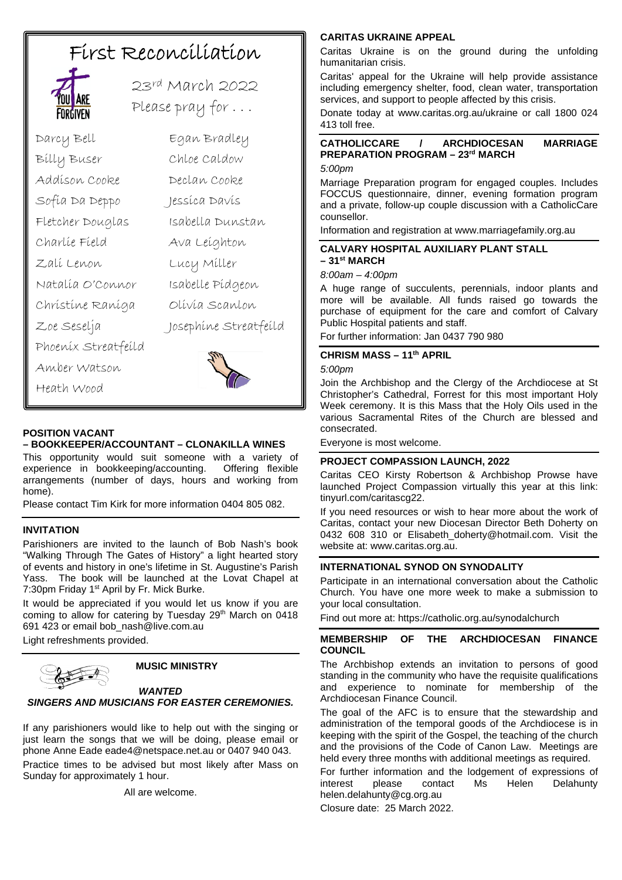# First Reconciliation



23rd March 2022 Please pray for . . .

Darcy Bell Egan Bradley Billy Buser Chloe Caldow Addison Cooke Declan Cooke Sofia Da Deppo Jessica Davis Fletcher Douglas Isabella Dunstan Charlie Field Ava Leighton Zali Lenon Lucy Miller Natalia O'Connor Isabelle Pidgeon Christine Raniga Olivia Scanlon Zoe Seselja Josephine Streatfeild Phoenix Streatfeild Amber Watson Heath Wood



#### **POSITION VACANT**

#### **– BOOKKEEPER/ACCOUNTANT – CLONAKILLA WINES**

This opportunity would suit someone with a variety of experience in bookkeeping/accounting. Offering flexible arrangements (number of days, hours and working from home).

Please contact Tim Kirk for more information 0404 805 082.

#### **INVITATION**

Parishioners are invited to the launch of Bob Nash's book "Walking Through The Gates of History" a light hearted story of events and history in one's lifetime in St. Augustine's Parish Yass. The book will be launched at the Lovat Chapel at 7:30pm Friday 1<sup>st</sup> April by Fr. Mick Burke.

It would be appreciated if you would let us know if you are coming to allow for catering by Tuesday 29<sup>th</sup> March on 0418 691 423 or email bob\_nash@live.com.au Light refreshments provided.

#### **MUSIC MINISTRY**

#### *WANTED SINGERS AND MUSICIANS FOR EASTER CEREMONIES.*

If any parishioners would like to help out with the singing or just learn the songs that we will be doing, please email or phone Anne Eade eade4@netspace.net.au or 0407 940 043. Practice times to be advised but most likely after Mass on

Sunday for approximately 1 hour.

All are welcome.

#### **CARITAS UKRAINE APPEAL**

Caritas Ukraine is on the ground during the unfolding humanitarian crisis.

Caritas' appeal for the Ukraine will help provide assistance including emergency shelter, food, clean water, transportation services, and support to people affected by this crisis.

Donate today at www.caritas.org.au/ukraine or call 1800 024 413 toll free.

#### **CATHOLICCARE / ARCHDIOCESAN MARRIAGE PREPARATION PROGRAM – 23rd MARCH**

#### *5:00pm*

Marriage Preparation program for engaged couples. Includes FOCCUS questionnaire, dinner, evening formation program and a private, follow-up couple discussion with a CatholicCare counsellor.

Information and registration at www.marriagefamily.org.au

#### **CALVARY HOSPITAL AUXILIARY PLANT STALL – 31st MARCH**

#### *8:00am – 4:00pm*

A huge range of succulents, perennials, indoor plants and more will be available. All funds raised go towards the purchase of equipment for the care and comfort of Calvary Public Hospital patients and staff.

For further information: Jan 0437 790 980

#### **CHRISM MASS – 11th APRIL**

*5:00pm*

Join the Archbishop and the Clergy of the Archdiocese at St Christopher's Cathedral, Forrest for this most important Holy Week ceremony. It is this Mass that the Holy Oils used in the various Sacramental Rites of the Church are blessed and consecrated.

Everyone is most welcome.

#### **PROJECT COMPASSION LAUNCH, 2022**

Caritas CEO Kirsty Robertson & Archbishop Prowse have launched Project Compassion virtually this year at this link: tinyurl.com/caritascg22.

If you need resources or wish to hear more about the work of Caritas, contact your new Diocesan Director Beth Doherty on 0432 608 310 or Elisabeth\_doherty@hotmail.com. Visit the website at: www.caritas.org.au.

#### **INTERNATIONAL SYNOD ON SYNODALITY**

Participate in an international conversation about the Catholic Church. You have one more week to make a submission to your local consultation.

Find out more at: https://catholic.org.au/synodalchurch

#### **MEMBERSHIP OF THE ARCHDIOCESAN FINANCE COUNCIL**

The Archbishop extends an invitation to persons of good standing in the community who have the requisite qualifications and experience to nominate for membership of the Archdiocesan Finance Council.

The goal of the AFC is to ensure that the stewardship and administration of the temporal goods of the Archdiocese is in keeping with the spirit of the Gospel, the teaching of the church and the provisions of the Code of Canon Law. Meetings are held every three months with additional meetings as required.

For further information and the lodgement of expressions of interest please contact Ms Helen Delahunty helen.delahunty@cg.org.au

Closure date: 25 March 2022.